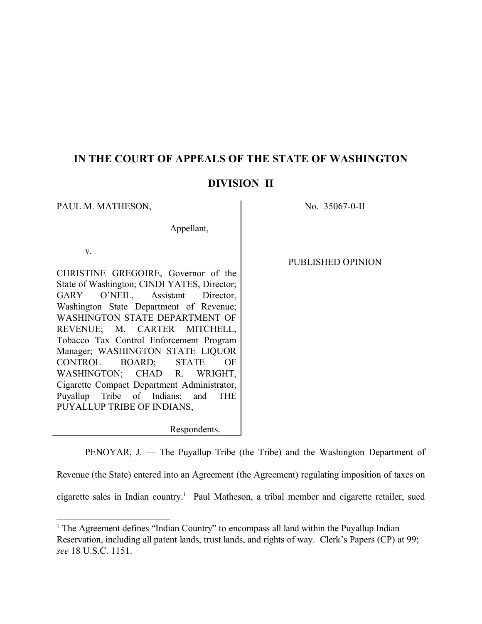# **IN THE COURT OF APPEALS OF THE STATE OF WASHINGTON**

# **DIVISION II**

PAUL M. MATHESON, No. 35067-0-II

Appellant,

v.

CHRISTINE GREGOIRE, Governor of the State of Washington; CINDI YATES, Director; GARY O'NEIL, Assistant Director, Washington State Department of Revenue; WASHINGTON STATE DEPARTMENT OF REVENUE; M. CARTER MITCHELL, Tobacco Tax Control Enforcement Program Manager; WASHINGTON STATE LIQUOR CONTROL BOARD; STATE OF WASHINGTON; CHAD R. WRIGHT, Cigarette Compact Department Administrator, Puyallup Tribe of Indians; and THE PUYALLUP TRIBE OF INDIANS,

PUBLISHED OPINION

Respondents.

PENOYAR, J. — The Puyallup Tribe (the Tribe) and the Washington Department of

Revenue (the State) entered into an Agreement (the Agreement) regulating imposition of taxes on

cigarette sales in Indian country.<sup>1</sup> Paul Matheson, a tribal member and cigarette retailer, sued

<sup>&</sup>lt;sup>1</sup> The Agreement defines "Indian Country" to encompass all land within the Puyallup Indian Reservation, including all patent lands, trust lands, and rights of way. Clerk's Papers (CP) at 99; *see* 18 U.S.C. 1151.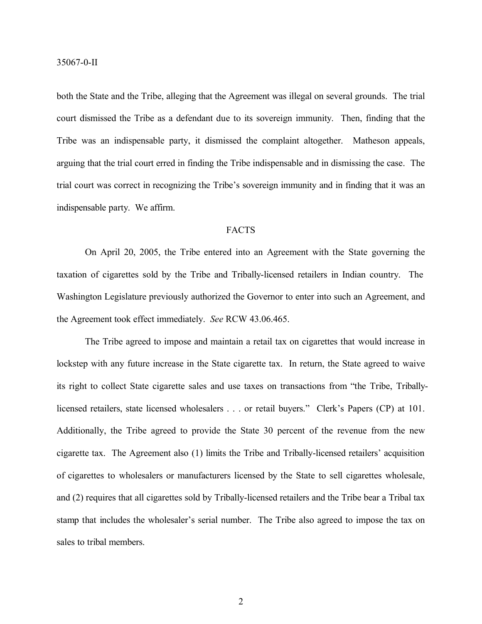both the State and the Tribe, alleging that the Agreement was illegal on several grounds. The trial court dismissed the Tribe as a defendant due to its sovereign immunity. Then, finding that the Tribe was an indispensable party, it dismissed the complaint altogether. Matheson appeals, arguing that the trial court erred in finding the Tribe indispensable and in dismissing the case. The trial court was correct in recognizing the Tribe's sovereign immunity and in finding that it was an indispensable party. We affirm.

# FACTS

On April 20, 2005, the Tribe entered into an Agreement with the State governing the taxation of cigarettes sold by the Tribe and Tribally-licensed retailers in Indian country. The Washington Legislature previously authorized the Governor to enter into such an Agreement, and the Agreement took effect immediately. *See* RCW 43.06.465.

The Tribe agreed to impose and maintain a retail tax on cigarettes that would increase in lockstep with any future increase in the State cigarette tax. In return, the State agreed to waive its right to collect State cigarette sales and use taxes on transactions from "the Tribe, Triballylicensed retailers, state licensed wholesalers . . . or retail buyers." Clerk's Papers (CP) at 101. Additionally, the Tribe agreed to provide the State 30 percent of the revenue from the new cigarette tax. The Agreement also (1) limits the Tribe and Tribally-licensed retailers' acquisition of cigarettes to wholesalers or manufacturers licensed by the State to sell cigarettes wholesale, and (2) requires that all cigarettes sold by Tribally-licensed retailers and the Tribe bear a Tribal tax stamp that includes the wholesaler's serial number. The Tribe also agreed to impose the tax on sales to tribal members.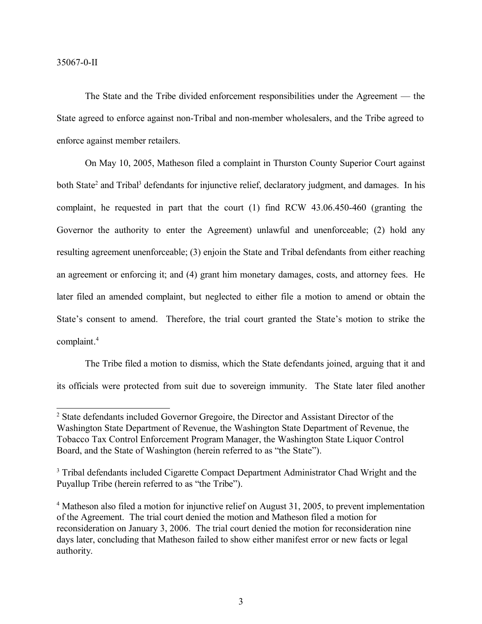The State and the Tribe divided enforcement responsibilities under the Agreement — the State agreed to enforce against non-Tribal and non-member wholesalers, and the Tribe agreed to enforce against member retailers.

On May 10, 2005, Matheson filed a complaint in Thurston County Superior Court against both State<sup>2</sup> and Tribal<sup>3</sup> defendants for injunctive relief, declaratory judgment, and damages. In his complaint, he requested in part that the court (1) find RCW 43.06.450-460 (granting the Governor the authority to enter the Agreement) unlawful and unenforceable; (2) hold any resulting agreement unenforceable; (3) enjoin the State and Tribal defendants from either reaching an agreement or enforcing it; and (4) grant him monetary damages, costs, and attorney fees. He later filed an amended complaint, but neglected to either file a motion to amend or obtain the State's consent to amend. Therefore, the trial court granted the State's motion to strike the complaint. 4

The Tribe filed a motion to dismiss, which the State defendants joined, arguing that it and its officials were protected from suit due to sovereign immunity. The State later filed another

<sup>2</sup> State defendants included Governor Gregoire, the Director and Assistant Director of the Washington State Department of Revenue, the Washington State Department of Revenue, the Tobacco Tax Control Enforcement Program Manager, the Washington State Liquor Control Board, and the State of Washington (herein referred to as "the State").

<sup>&</sup>lt;sup>3</sup> Tribal defendants included Cigarette Compact Department Administrator Chad Wright and the Puyallup Tribe (herein referred to as "the Tribe").

<sup>&</sup>lt;sup>4</sup> Matheson also filed a motion for injunctive relief on August 31, 2005, to prevent implementation of the Agreement. The trial court denied the motion and Matheson filed a motion for reconsideration on January 3, 2006. The trial court denied the motion for reconsideration nine days later, concluding that Matheson failed to show either manifest error or new facts or legal authority.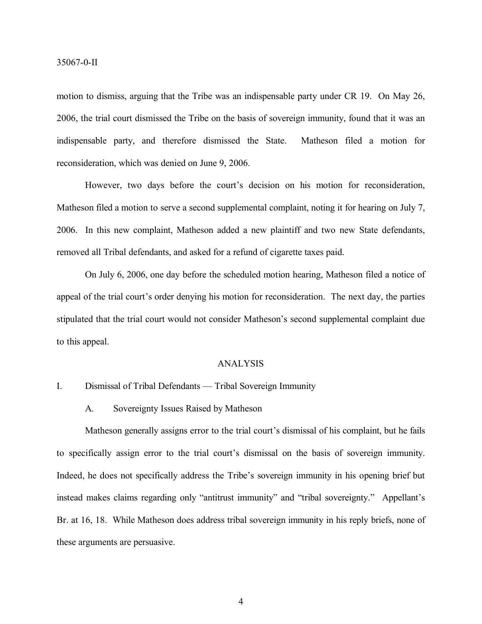motion to dismiss, arguing that the Tribe was an indispensable party under CR 19. On May 26, 2006, the trial court dismissed the Tribe on the basis of sovereign immunity, found that it was an indispensable party, and therefore dismissed the State. Matheson filed a motion for reconsideration, which was denied on June 9, 2006.

However, two days before the court's decision on his motion for reconsideration, Matheson filed a motion to serve a second supplemental complaint, noting it for hearing on July 7, 2006. In this new complaint, Matheson added a new plaintiff and two new State defendants, removed all Tribal defendants, and asked for a refund of cigarette taxes paid.

On July 6, 2006, one day before the scheduled motion hearing, Matheson filed a notice of appeal of the trial court's order denying his motion for reconsideration. The next day, the parties stipulated that the trial court would not consider Matheson's second supplemental complaint due to this appeal.

# ANALYSIS

# I. Dismissal of Tribal Defendants — Tribal Sovereign Immunity

A. Sovereignty Issues Raised by Matheson

Matheson generally assigns error to the trial court's dismissal of his complaint, but he fails to specifically assign error to the trial court's dismissal on the basis of sovereign immunity. Indeed, he does not specifically address the Tribe's sovereign immunity in his opening brief but instead makes claims regarding only "antitrust immunity" and "tribal sovereignty." Appellant's Br. at 16, 18. While Matheson does address tribal sovereign immunity in his reply briefs, none of these arguments are persuasive.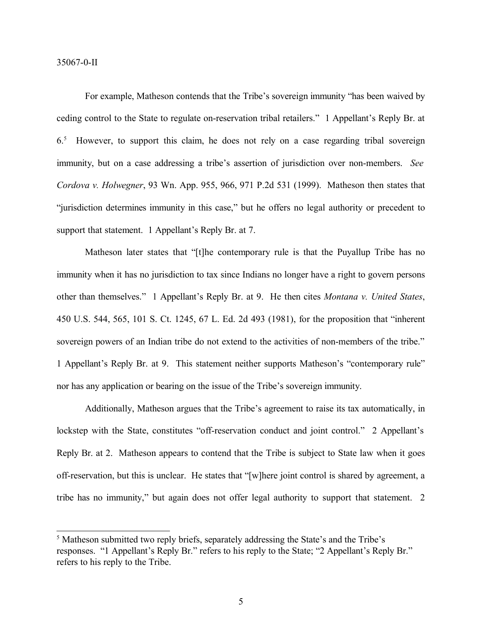For example, Matheson contends that the Tribe's sovereign immunity "has been waived by ceding control to the State to regulate on-reservation tribal retailers." 1 Appellant's Reply Br. at 6.<sup>5</sup> However, to support this claim, he does not rely on a case regarding tribal sovereign immunity, but on a case addressing a tribe's assertion of jurisdiction over non-members. *See Cordova v. Holwegner*, 93 Wn. App. 955, 966, 971 P.2d 531 (1999). Matheson then states that "jurisdiction determines immunity in this case," but he offers no legal authority or precedent to support that statement. 1 Appellant's Reply Br. at 7.

Matheson later states that "[t]he contemporary rule is that the Puyallup Tribe has no immunity when it has no jurisdiction to tax since Indians no longer have a right to govern persons other than themselves." 1 Appellant's Reply Br. at 9. He then cites *Montana v. United States*, 450 U.S. 544, 565, 101 S. Ct. 1245, 67 L. Ed. 2d 493 (1981), for the proposition that "inherent sovereign powers of an Indian tribe do not extend to the activities of non-members of the tribe." 1 Appellant's Reply Br. at 9. This statement neither supports Matheson's "contemporary rule" nor has any application or bearing on the issue of the Tribe's sovereign immunity.

Additionally, Matheson argues that the Tribe's agreement to raise its tax automatically, in lockstep with the State, constitutes "off-reservation conduct and joint control." 2 Appellant's Reply Br. at 2. Matheson appears to contend that the Tribe is subject to State law when it goes off-reservation, but this is unclear. He states that "[w]here joint control is shared by agreement, a tribe has no immunity," but again does not offer legal authority to support that statement. 2

<sup>5</sup> Matheson submitted two reply briefs, separately addressing the State's and the Tribe's responses. "1 Appellant's Reply Br." refers to his reply to the State; "2 Appellant's Reply Br." refers to his reply to the Tribe.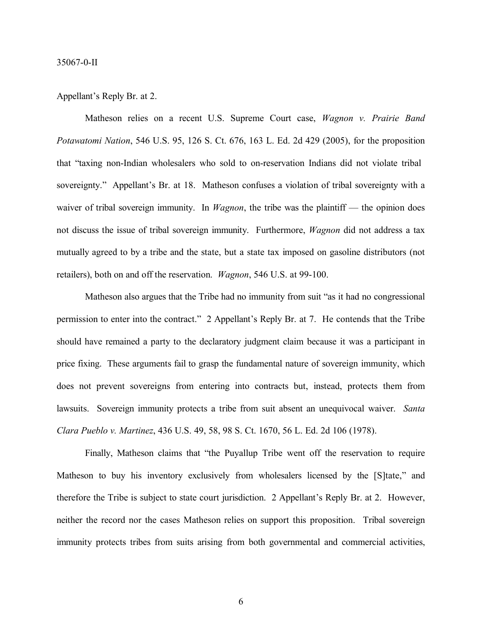#### Appellant's Reply Br. at 2.

Matheson relies on a recent U.S. Supreme Court case, *Wagnon v. Prairie Band Potawatomi Nation*, 546 U.S. 95, 126 S. Ct. 676, 163 L. Ed. 2d 429 (2005), for the proposition that "taxing non-Indian wholesalers who sold to on-reservation Indians did not violate tribal sovereignty." Appellant's Br. at 18. Matheson confuses a violation of tribal sovereignty with a waiver of tribal sovereign immunity. In *Wagnon*, the tribe was the plaintiff — the opinion does not discuss the issue of tribal sovereign immunity. Furthermore, *Wagnon* did not address a tax mutually agreed to by a tribe and the state, but a state tax imposed on gasoline distributors (not retailers), both on and off the reservation. *Wagnon*, 546 U.S. at 99-100.

Matheson also argues that the Tribe had no immunity from suit "as it had no congressional permission to enter into the contract." 2 Appellant's Reply Br. at 7. He contends that the Tribe should have remained a party to the declaratory judgment claim because it was a participant in price fixing. These arguments fail to grasp the fundamental nature of sovereign immunity, which does not prevent sovereigns from entering into contracts but, instead, protects them from lawsuits. Sovereign immunity protects a tribe from suit absent an unequivocal waiver. *Santa Clara Pueblo v. Martinez*, 436 U.S. 49, 58, 98 S. Ct. 1670, 56 L. Ed. 2d 106 (1978).

Finally, Matheson claims that "the Puyallup Tribe went off the reservation to require Matheson to buy his inventory exclusively from wholesalers licensed by the [S]tate," and therefore the Tribe is subject to state court jurisdiction. 2 Appellant's Reply Br. at 2. However, neither the record nor the cases Matheson relies on support this proposition. Tribal sovereign immunity protects tribes from suits arising from both governmental and commercial activities,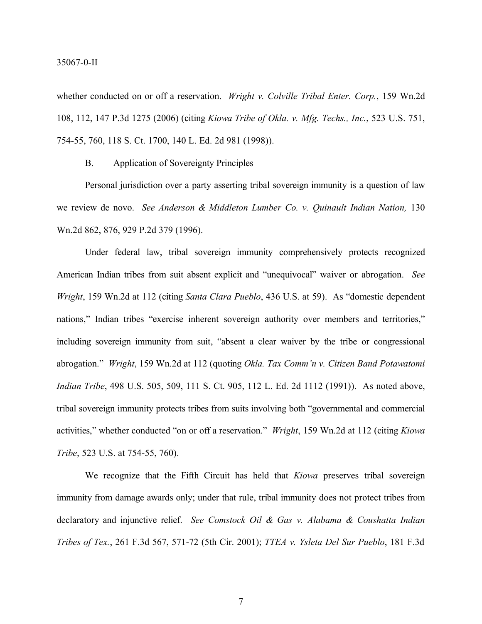#### 35067-0-II

whether conducted on or off a reservation. *Wright v. Colville Tribal Enter. Corp.*, 159 Wn.2d 108, 112, 147 P.3d 1275 (2006) (citing *Kiowa Tribe of Okla. v. Mfg. Techs., Inc.*, 523 U.S. 751, 754-55, 760, 118 S. Ct. 1700, 140 L. Ed. 2d 981 (1998)).

B. Application of Sovereignty Principles

Personal jurisdiction over a party asserting tribal sovereign immunity is a question of law we review de novo. *See Anderson & Middleton Lumber Co. v. Quinault Indian Nation,* 130 Wn.2d 862, 876, 929 P.2d 379 (1996).

Under federal law, tribal sovereign immunity comprehensively protects recognized American Indian tribes from suit absent explicit and "unequivocal" waiver or abrogation. *See Wright*, 159 Wn.2d at 112 (citing *Santa Clara Pueblo*, 436 U.S. at 59). As "domestic dependent nations," Indian tribes "exercise inherent sovereign authority over members and territories," including sovereign immunity from suit, "absent a clear waiver by the tribe or congressional abrogation." *Wright*, 159 Wn.2d at 112 (quoting *Okla. Tax Comm'n v. Citizen Band Potawatomi Indian Tribe*, 498 U.S. 505, 509, 111 S. Ct. 905, 112 L. Ed. 2d 1112 (1991)). As noted above, tribal sovereign immunity protects tribes from suits involving both "governmental and commercial activities," whether conducted "on or off a reservation." *Wright*, 159 Wn.2d at 112 (citing *Kiowa Tribe*, 523 U.S. at 754-55, 760).

We recognize that the Fifth Circuit has held that *Kiowa* preserves tribal sovereign immunity from damage awards only; under that rule, tribal immunity does not protect tribes from declaratory and injunctive relief. *See Comstock Oil & Gas v. Alabama & Coushatta Indian Tribes of Tex.*, 261 F.3d 567, 571-72 (5th Cir. 2001); *TTEA v. Ysleta Del Sur Pueblo*, 181 F.3d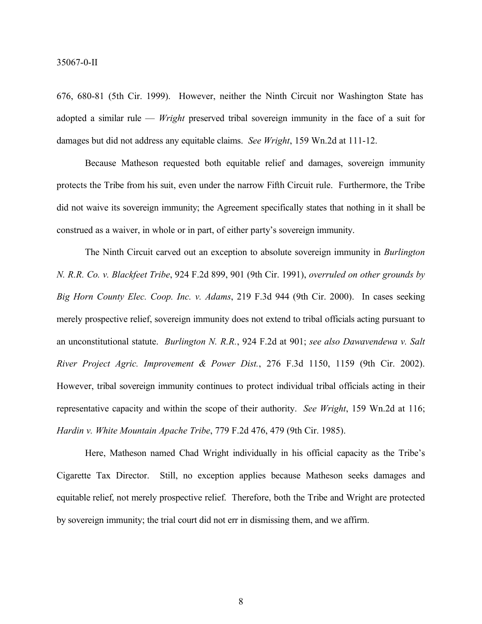676, 680-81 (5th Cir. 1999). However, neither the Ninth Circuit nor Washington State has adopted a similar rule — *Wright* preserved tribal sovereign immunity in the face of a suit for damages but did not address any equitable claims. *See Wright*, 159 Wn.2d at 111-12.

Because Matheson requested both equitable relief and damages, sovereign immunity protects the Tribe from his suit, even under the narrow Fifth Circuit rule. Furthermore, the Tribe did not waive its sovereign immunity; the Agreement specifically states that nothing in it shall be construed as a waiver, in whole or in part, of either party's sovereign immunity.

The Ninth Circuit carved out an exception to absolute sovereign immunity in *Burlington N. R.R. Co. v. Blackfeet Tribe*, 924 F.2d 899, 901 (9th Cir. 1991), *overruled on other grounds by Big Horn County Elec. Coop. Inc. v. Adams*, 219 F.3d 944 (9th Cir. 2000). In cases seeking merely prospective relief, sovereign immunity does not extend to tribal officials acting pursuant to an unconstitutional statute. *Burlington N. R.R.*, 924 F.2d at 901; *see also Dawavendewa v. Salt River Project Agric. Improvement & Power Dist.*, 276 F.3d 1150, 1159 (9th Cir. 2002). However, tribal sovereign immunity continues to protect individual tribal officials acting in their representative capacity and within the scope of their authority. *See Wright*, 159 Wn.2d at 116; *Hardin v. White Mountain Apache Tribe*, 779 F.2d 476, 479 (9th Cir. 1985).

Here, Matheson named Chad Wright individually in his official capacity as the Tribe's Cigarette Tax Director. Still, no exception applies because Matheson seeks damages and equitable relief, not merely prospective relief. Therefore, both the Tribe and Wright are protected by sovereign immunity; the trial court did not err in dismissing them, and we affirm.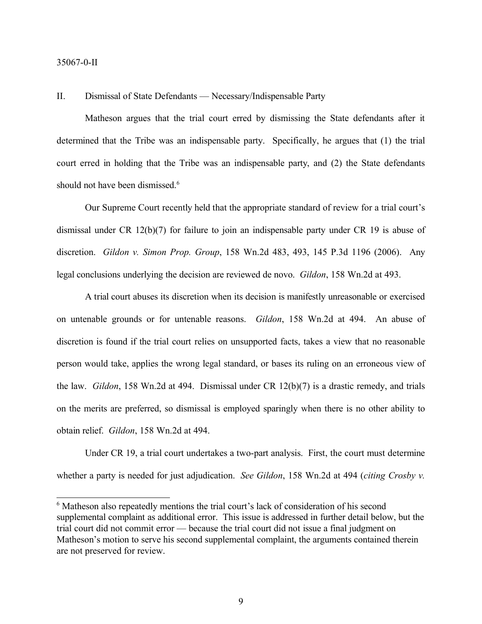## II. Dismissal of State Defendants — Necessary/Indispensable Party

Matheson argues that the trial court erred by dismissing the State defendants after it determined that the Tribe was an indispensable party. Specifically, he argues that (1) the trial court erred in holding that the Tribe was an indispensable party, and (2) the State defendants should not have been dismissed.<sup>6</sup>

Our Supreme Court recently held that the appropriate standard of review for a trial court's dismissal under CR 12(b)(7) for failure to join an indispensable party under CR 19 is abuse of discretion. *Gildon v. Simon Prop. Group*, 158 Wn.2d 483, 493, 145 P.3d 1196 (2006). Any legal conclusions underlying the decision are reviewed de novo. *Gildon*, 158 Wn.2d at 493.

A trial court abuses its discretion when its decision is manifestly unreasonable or exercised on untenable grounds or for untenable reasons. *Gildon*, 158 Wn.2d at 494. An abuse of discretion is found if the trial court relies on unsupported facts, takes a view that no reasonable person would take, applies the wrong legal standard, or bases its ruling on an erroneous view of the law. *Gildon*, 158 Wn.2d at 494. Dismissal under CR 12(b)(7) is a drastic remedy, and trials on the merits are preferred, so dismissal is employed sparingly when there is no other ability to obtain relief. *Gildon*, 158 Wn.2d at 494.

Under CR 19, a trial court undertakes a two-part analysis. First, the court must determine whether a party is needed for just adjudication. *See Gildon*, 158 Wn.2d at 494 (*citing Crosby v.* 

<sup>&</sup>lt;sup>6</sup> Matheson also repeatedly mentions the trial court's lack of consideration of his second supplemental complaint as additional error. This issue is addressed in further detail below, but the trial court did not commit error — because the trial court did not issue a final judgment on Matheson's motion to serve his second supplemental complaint, the arguments contained therein are not preserved for review.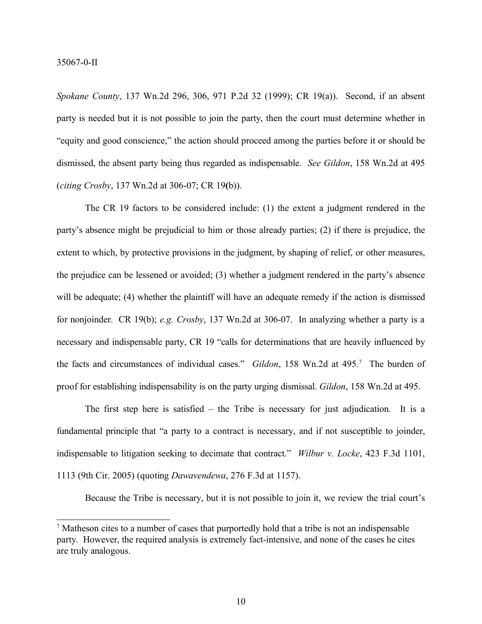*Spokane County*, 137 Wn.2d 296, 306, 971 P.2d 32 (1999); CR 19(a)). Second, if an absent party is needed but it is not possible to join the party, then the court must determine whether in "equity and good conscience," the action should proceed among the parties before it or should be dismissed, the absent party being thus regarded as indispensable. *See Gildon*, 158 Wn.2d at 495 (*citing Crosby*, 137 Wn.2d at 306-07; CR 19**(**b)).

The CR 19 factors to be considered include: (1) the extent a judgment rendered in the party's absence might be prejudicial to him or those already parties; (2) if there is prejudice, the extent to which, by protective provisions in the judgment, by shaping of relief, or other measures, the prejudice can be lessened or avoided; (3) whether a judgment rendered in the party's absence will be adequate; (4) whether the plaintiff will have an adequate remedy if the action is dismissed for nonjoinder. CR 19(b); *e.g. Crosby*, 137 Wn.2d at 306-07. In analyzing whether a party is a necessary and indispensable party, CR 19 "calls for determinations that are heavily influenced by the facts and circumstances of individual cases." *Gildon*, 158 Wn.2d at 495.<sup>7</sup> The burden of proof for establishing indispensability is on the party urging dismissal. *Gildon*, 158 Wn.2d at 495.

The first step here is satisfied – the Tribe is necessary for just adjudication. It is a fundamental principle that "a party to a contract is necessary, and if not susceptible to joinder, indispensable to litigation seeking to decimate that contract." *Wilbur v. Locke*, 423 F.3d 1101, 1113 (9th Cir. 2005) (quoting *Dawavendewa*, 276 F.3d at 1157).

Because the Tribe is necessary, but it is not possible to join it, we review the trial court's

<sup>7</sup> Matheson cites to a number of cases that purportedly hold that a tribe is not an indispensable party. However, the required analysis is extremely fact-intensive, and none of the cases he cites are truly analogous.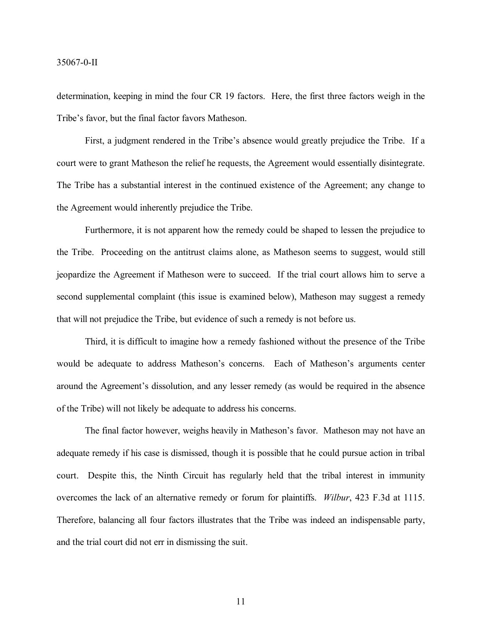#### 35067-0-II

determination, keeping in mind the four CR 19 factors. Here, the first three factors weigh in the Tribe's favor, but the final factor favors Matheson.

First, a judgment rendered in the Tribe's absence would greatly prejudice the Tribe. If a court were to grant Matheson the relief he requests, the Agreement would essentially disintegrate. The Tribe has a substantial interest in the continued existence of the Agreement; any change to the Agreement would inherently prejudice the Tribe.

Furthermore, it is not apparent how the remedy could be shaped to lessen the prejudice to the Tribe. Proceeding on the antitrust claims alone, as Matheson seems to suggest, would still jeopardize the Agreement if Matheson were to succeed. If the trial court allows him to serve a second supplemental complaint (this issue is examined below), Matheson may suggest a remedy that will not prejudice the Tribe, but evidence of such a remedy is not before us.

Third, it is difficult to imagine how a remedy fashioned without the presence of the Tribe would be adequate to address Matheson's concerns. Each of Matheson's arguments center around the Agreement's dissolution, and any lesser remedy (as would be required in the absence of the Tribe) will not likely be adequate to address his concerns.

The final factor however, weighs heavily in Matheson's favor. Matheson may not have an adequate remedy if his case is dismissed, though it is possible that he could pursue action in tribal court. Despite this, the Ninth Circuit has regularly held that the tribal interest in immunity overcomes the lack of an alternative remedy or forum for plaintiffs. *Wilbur*, 423 F.3d at 1115. Therefore, balancing all four factors illustrates that the Tribe was indeed an indispensable party, and the trial court did not err in dismissing the suit.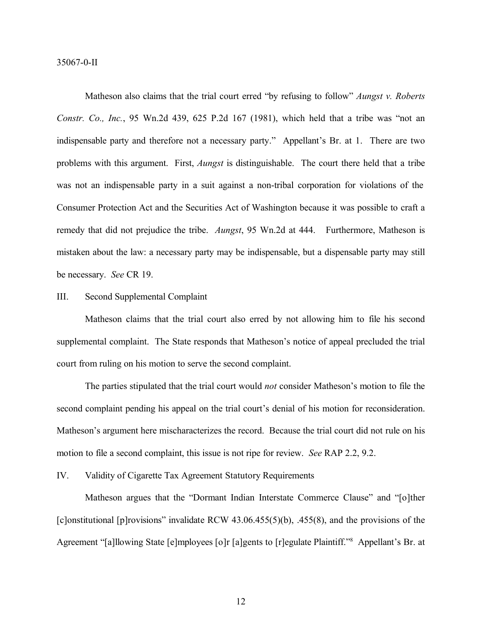Matheson also claims that the trial court erred "by refusing to follow" *Aungst v. Roberts Constr. Co., Inc.*, 95 Wn.2d 439, 625 P.2d 167 (1981), which held that a tribe was "not an indispensable party and therefore not a necessary party." Appellant's Br. at 1. There are two problems with this argument. First, *Aungst* is distinguishable. The court there held that a tribe was not an indispensable party in a suit against a non-tribal corporation for violations of the Consumer Protection Act and the Securities Act of Washington because it was possible to craft a remedy that did not prejudice the tribe. *Aungst*, 95 Wn.2d at 444. Furthermore, Matheson is mistaken about the law: a necessary party may be indispensable, but a dispensable party may still be necessary. *See* CR 19.

#### III. Second Supplemental Complaint

Matheson claims that the trial court also erred by not allowing him to file his second supplemental complaint. The State responds that Matheson's notice of appeal precluded the trial court from ruling on his motion to serve the second complaint.

The parties stipulated that the trial court would *not* consider Matheson's motion to file the second complaint pending his appeal on the trial court's denial of his motion for reconsideration. Matheson's argument here mischaracterizes the record. Because the trial court did not rule on his motion to file a second complaint, this issue is not ripe for review. *See* RAP 2.2, 9.2.

IV. Validity of Cigarette Tax Agreement Statutory Requirements

Matheson argues that the "Dormant Indian Interstate Commerce Clause" and "[o]ther [c]onstitutional [p]rovisions" invalidate RCW 43.06.455(5)(b), .455(8), and the provisions of the Agreement "[a]llowing State [e]mployees [o]r [a]gents to [r]egulate Plaintiff." <sup>8</sup> Appellant's Br. at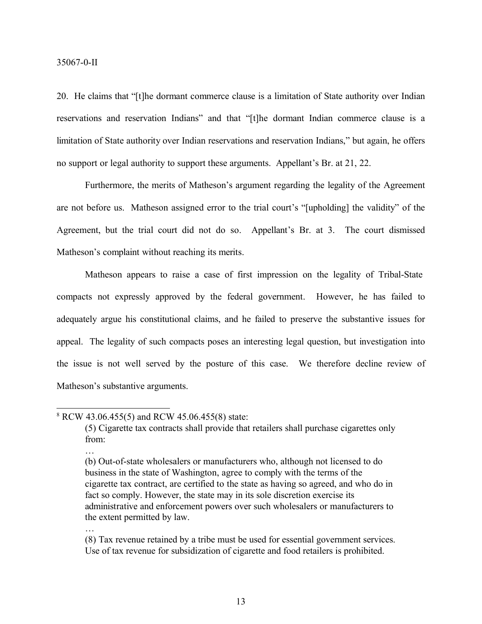20. He claims that "[t]he dormant commerce clause is a limitation of State authority over Indian reservations and reservation Indians" and that "[t]he dormant Indian commerce clause is a limitation of State authority over Indian reservations and reservation Indians," but again, he offers no support or legal authority to support these arguments. Appellant's Br. at 21, 22.

Furthermore, the merits of Matheson's argument regarding the legality of the Agreement are not before us. Matheson assigned error to the trial court's "[upholding] the validity" of the Agreement, but the trial court did not do so. Appellant's Br. at 3. The court dismissed Matheson's complaint without reaching its merits.

Matheson appears to raise a case of first impression on the legality of Tribal-State compacts not expressly approved by the federal government. However, he has failed to adequately argue his constitutional claims, and he failed to preserve the substantive issues for appeal. The legality of such compacts poses an interesting legal question, but investigation into the issue is not well served by the posture of this case. We therefore decline review of Matheson's substantive arguments.

…

…

<sup>8</sup> RCW 43.06.455(5) and RCW 45.06.455(8) state:

<sup>(5)</sup> Cigarette tax contracts shall provide that retailers shall purchase cigarettes only from:

<sup>(</sup>b) Out-of-state wholesalers or manufacturers who, although not licensed to do business in the state of Washington, agree to comply with the terms of the cigarette tax contract, are certified to the state as having so agreed, and who do in fact so comply. However, the state may in its sole discretion exercise its administrative and enforcement powers over such wholesalers or manufacturers to the extent permitted by law.

<sup>(8)</sup> Tax revenue retained by a tribe must be used for essential government services. Use of tax revenue for subsidization of cigarette and food retailers is prohibited.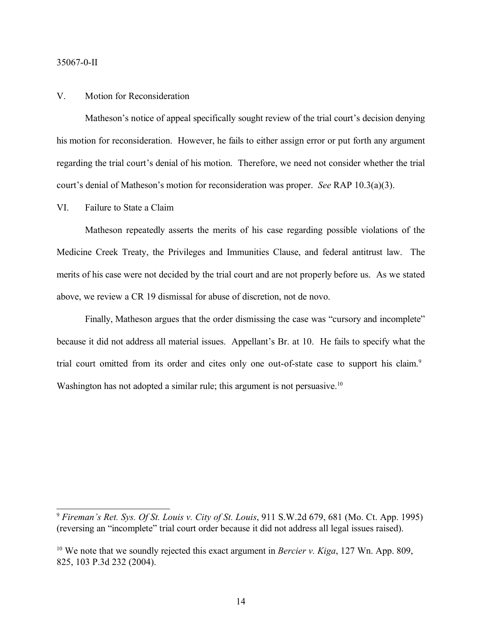#### 35067-0-II

## V. Motion for Reconsideration

Matheson's notice of appeal specifically sought review of the trial court's decision denying his motion for reconsideration. However, he fails to either assign error or put forth any argument regarding the trial court's denial of his motion. Therefore, we need not consider whether the trial court's denial of Matheson's motion for reconsideration was proper. *See* RAP 10.3(a)(3).

#### VI. Failure to State a Claim

Matheson repeatedly asserts the merits of his case regarding possible violations of the Medicine Creek Treaty, the Privileges and Immunities Clause, and federal antitrust law. The merits of his case were not decided by the trial court and are not properly before us. As we stated above, we review a CR 19 dismissal for abuse of discretion, not de novo.

Finally, Matheson argues that the order dismissing the case was "cursory and incomplete" because it did not address all material issues. Appellant's Br. at 10. He fails to specify what the trial court omitted from its order and cites only one out-of-state case to support his claim.<sup>9</sup> Washington has not adopted a similar rule; this argument is not persuasive.<sup>10</sup>

<sup>9</sup> *Fireman's Ret. Sys. Of St. Louis v. City of St. Louis*, 911 S.W.2d 679, 681 (Mo. Ct. App. 1995) (reversing an "incomplete" trial court order because it did not address all legal issues raised).

<sup>10</sup> We note that we soundly rejected this exact argument in *Bercier v. Kiga*, 127 Wn. App. 809, 825, 103 P.3d 232 (2004).